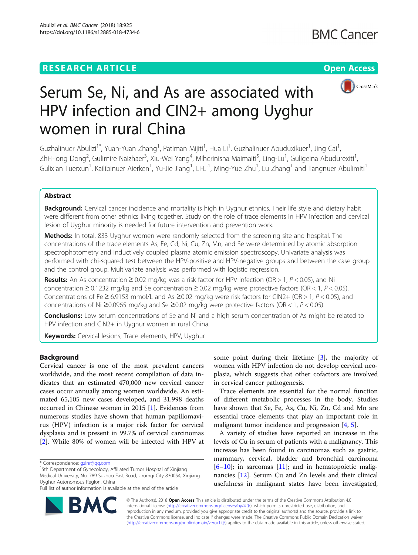# **RESEARCH ARTICLE Example 2014 12:30 The Contract of Contract ACCESS**



# Serum Se, Ni, and As are associated with HPV infection and CIN2+ among Uyghur women in rural China

Guzhalinuer Abulizi<sup>1\*</sup>, Yuan-Yuan Zhang<sup>1</sup>, Patiman Mijiti<sup>1</sup>, Hua Li<sup>1</sup>, Guzhalinuer Abuduxikuer<sup>1</sup>, Jing Cai<sup>1</sup> , Zhi-Hong Dong<sup>2</sup>, Gulimire Naizhaer<sup>3</sup>, Xiu-Wei Yang<sup>4</sup>, Miherinisha Maimaiti<sup>5</sup>, Ling-Lu<sup>1</sup>, Guligeina Abudurexiti<sup>1</sup> , Gulixian Tuerxun<sup>1</sup>, Kailibinuer Aierken<sup>1</sup>, Yu-Jie Jiang<sup>1</sup>, Li-Li<sup>1</sup>, Ming-Yue Zhu<sup>1</sup>, Lu Zhang<sup>1</sup> and Tangnuer Abulimiti<sup>1</sup>

# Abstract

Background: Cervical cancer incidence and mortality is high in Uyghur ethnics. Their life style and dietary habit were different from other ethnics living together. Study on the role of trace elements in HPV infection and cervical lesion of Uyghur minority is needed for future intervention and prevention work.

Methods: In total, 833 Uyghur women were randomly selected from the screening site and hospital. The concentrations of the trace elements As, Fe, Cd, Ni, Cu, Zn, Mn, and Se were determined by atomic absorption spectrophotometry and inductively coupled plasma atomic emission spectroscopy. Univariate analysis was performed with chi-squared test between the HPV-positive and HPV-negative groups and between the case group and the control group. Multivariate analysis was performed with logistic regression.

Results: An As concentration  $\geq 0.02$  mg/kg was a risk factor for HPV infection (OR > 1, P < 0.05), and Ni concentration  $\geq 0.1232$  mg/kg and Se concentration  $\geq 0.02$  mg/kg were protective factors (OR < 1, P < 0.05). Concentrations of Fe ≥ 6.9153 mmol/L and As ≥0.02 mg/kg were risk factors for CIN2+ (OR > 1, P < 0.05), and concentrations of Ni ≥0.0965 mg/kg and Se ≥0.02 mg/kg were protective factors (OR < 1, P < 0.05).

**Conclusions:** Low serum concentrations of Se and Ni and a high serum concentration of As might be related to HPV infection and CIN2+ in Uyghur women in rural China.

Keywords: Cervical lesions, Trace elements, HPV, Uyghur

# Background

Cervical cancer is one of the most prevalent cancers worldwide, and the most recent compilation of data indicates that an estimated 470,000 new cervical cancer cases occur annually among women worldwide. An estimated 65,105 new cases developed, and 31,998 deaths occurred in Chinese women in 2015 [[1\]](#page-5-0). Evidences from numerous studies have shown that human papillomavirus (HPV) infection is a major risk factor for cervical dysplasia and is present in 99.7% of cervical carcinomas [[2\]](#page-5-0). While 80% of women will be infected with HPV at

<sup>1</sup>5th Department of Gynecology, Affiliated Tumor Hospital of Xinjiang Medical University, No. 789 Suzhou East Road, Urumqi City 830054, Xinjiang Uyghur Autonomous Region, China

some point during their lifetime [\[3](#page-5-0)], the majority of women with HPV infection do not develop cervical neoplasia, which suggests that other cofactors are involved in cervical cancer pathogenesis.

Trace elements are essential for the normal function of different metabolic processes in the body. Studies have shown that Se, Fe, As, Cu, Ni, Zn, Cd and Mn are essential trace elements that play an important role in malignant tumor incidence and progression [\[4,](#page-5-0) [5](#page-5-0)].

A variety of studies have reported an increase in the levels of Cu in serum of patients with a malignancy. This increase has been found in carcinomas such as gastric, mammary, cervical, bladder and bronchial carcinoma  $[6–10]$  $[6–10]$  $[6–10]$  $[6–10]$ ; in sarcomas  $[11]$  $[11]$ ; and in hematopoietic malignancies [\[12\]](#page-6-0). Serum Cu and Zn levels and their clinical usefulness in malignant states have been investigated,



© The Author(s). 2018 Open Access This article is distributed under the terms of the Creative Commons Attribution 4.0 International License [\(http://creativecommons.org/licenses/by/4.0/](http://creativecommons.org/licenses/by/4.0/)), which permits unrestricted use, distribution, and reproduction in any medium, provided you give appropriate credit to the original author(s) and the source, provide a link to the Creative Commons license, and indicate if changes were made. The Creative Commons Public Domain Dedication waiver [\(http://creativecommons.org/publicdomain/zero/1.0/](http://creativecommons.org/publicdomain/zero/1.0/)) applies to the data made available in this article, unless otherwise stated.

<sup>\*</sup> Correspondence: [gzlnr@qq.com](mailto:gzlnr@qq.com) <sup>1</sup>

Full list of author information is available at the end of the article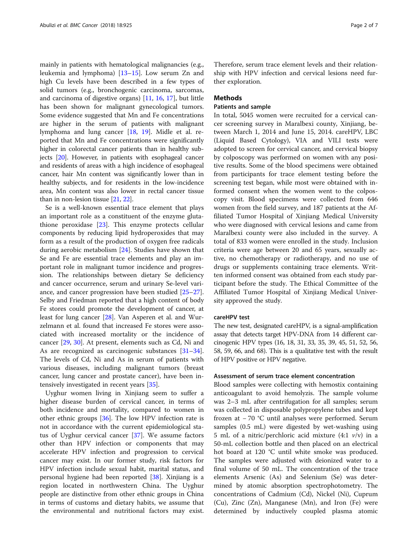mainly in patients with hematological malignancies (e.g., leukemia and lymphoma) [[13](#page-6-0)–[15](#page-6-0)]. Low serum Zn and high Cu levels have been described in a few types of solid tumors (e.g., bronchogenic carcinoma, sarcomas, and carcinoma of digestive organs) [[11,](#page-6-0) [16,](#page-6-0) [17\]](#page-6-0), but little has been shown for malignant gynecological tumors. Some evidence suggested that Mn and Fe concentrations are higher in the serum of patients with malignant lymphoma and lung cancer [\[18](#page-6-0), [19\]](#page-6-0). Midle et al. reported that Mn and Fe concentrations were significantly higher in colorectal cancer patients than in healthy subjects [[20](#page-6-0)]. However, in patients with esophageal cancer and residents of areas with a high incidence of esophageal cancer, hair Mn content was significantly lower than in healthy subjects, and for residents in the low-incidence area, Mn content was also lower in rectal cancer tissue than in non-lesion tissue [\[21,](#page-6-0) [22\]](#page-6-0).

Se is a well-known essential trace element that plays an important role as a constituent of the enzyme glutathione peroxidase [[23\]](#page-6-0). This enzyme protects cellular components by reducing lipid hydroperoxides that may form as a result of the production of oxygen free radicals during aerobic metabolism [[24\]](#page-6-0). Studies have shown that Se and Fe are essential trace elements and play an important role in malignant tumor incidence and progression. The relationships between dietary Se deficiency and cancer occurrence, serum and urinary Se-level variance, and cancer progression have been studied [[25](#page-6-0)–[27](#page-6-0)]. Selby and Friedman reported that a high content of body Fe stores could promote the development of cancer, at least for lung cancer [\[28](#page-6-0)]. Van Asperen et al. and Wurzelmann et al. found that increased Fe stores were associated with increased mortality or the incidence of cancer [[29,](#page-6-0) [30\]](#page-6-0). At present, elements such as Cd, Ni and As are recognized as carcinogenic substances [[31](#page-6-0)–[34](#page-6-0)]. The levels of Cd, Ni and As in serum of patients with various diseases, including malignant tumors (breast cancer, lung cancer and prostate cancer), have been intensively investigated in recent years [\[35](#page-6-0)].

Uyghur women living in Xinjiang seem to suffer a higher disease burden of cervical cancer, in terms of both incidence and mortality, compared to women in other ethnic groups [\[36](#page-6-0)]. The low HPV infection rate is not in accordance with the current epidemiological status of Uyghur cervical cancer [[37](#page-6-0)]. We assume factors other than HPV infection or components that may accelerate HPV infection and progression to cervical cancer may exist. In our former study, risk factors for HPV infection include sexual habit, marital status, and personal hygiene had been reported [\[38\]](#page-6-0). Xinjiang is a region located in northwestern China. The Uyghur people are distinctive from other ethnic groups in China in terms of customs and dietary habits, we assume that the environmental and nutritional factors may exist. Therefore, serum trace element levels and their relationship with HPV infection and cervical lesions need further exploration.

# **Methods**

# Patients and sample

In total, 5045 women were recruited for a cervical cancer screening survey in Maralbexi county, Xinjiang, between March 1, 2014 and June 15, 2014. careHPV, LBC (Liquid Based Cytology), VIA and VILI tests were adopted to screen for cervical cancer, and cervical biopsy by colposcopy was performed on women with any positive results. Some of the blood specimens were obtained from participants for trace element testing before the screening test began, while most were obtained with informed consent when the women went to the colposcopy visit. Blood specimens were collected from 646 women from the field survey, and 187 patients at the Affiliated Tumor Hospital of Xinjiang Medical University who were diagnosed with cervical lesions and came from Maralbexi county were also included in the survey. A total of 833 women were enrolled in the study. Inclusion criteria were age between 20 and 65 years, sexually active, no chemotherapy or radiotherapy, and no use of drugs or supplements containing trace elements. Written informed consent was obtained from each study participant before the study. The Ethical Committee of the Affiliated Tumor Hospital of Xinjiang Medical University approved the study.

### careHPV test

The new test, designated careHPV, is a signal-amplification assay that detects target HPV-DNA from 14 different carcinogenic HPV types (16, 18, 31, 33, 35, 39, 45, 51, 52, 56, 58, 59, 66, and 68). This is a qualitative test with the result of HPV positive or HPV negative.

# Assessment of serum trace element concentration

Blood samples were collecting with hemostix containing anticoagulant to avoid hemolyzis. The sample volume was 2–3 mL after centrifugation for all samples; serum was collected in disposable polypropylene tubes and kept frozen at − 70 °C until analyses were performed. Serum samples (0.5 mL) were digested by wet-washing using 5 mL of a nitric/perchloric acid mixture (4:1  $v/v$ ) in a 50-mL collection bottle and then placed on an electrical hot board at 120 °C until white smoke was produced. The samples were adjusted with deionized water to a final volume of 50 mL. The concentration of the trace elements Arsenic (As) and Selenium (Se) was determined by atomic absorption spectrophotometry. The concentrations of Cadmium (Cd), Nickel (Ni), Cuprum (Cu), Zinc (Zn), Manganese (Mn), and Iron (Fe) were determined by inductively coupled plasma atomic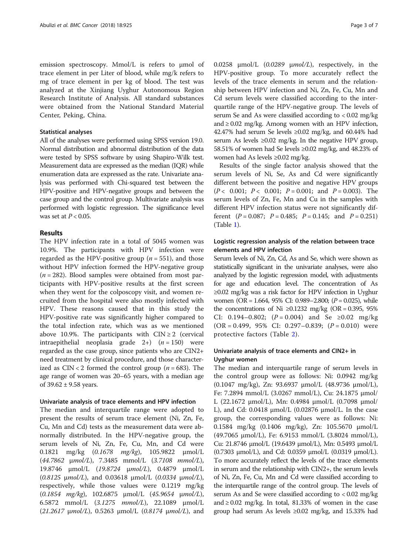emission spectroscopy. Μmol/L is refers to μmol of trace element in per Liter of blood, while mg/k refers to mg of trace element in per kg of blood. The test was analyzed at the Xinjiang Uyghur Autonomous Region Research Institute of Analysis. All standard substances were obtained from the National Standard Material Center, Peking, China.

# Statistical analyses

All of the analyses were performed using SPSS version 19.0. Normal distribution and abnormal distribution of the data were tested by SPSS software by using Shapiro-Wilk test. Measurement data are expressed as the median (IQR) while enumeration data are expressed as the rate. Univariate analysis was performed with Chi-squared test between the HPV-positive and HPV-negative groups and between the case group and the control group. Multivariate analysis was performed with logistic regression. The significance level was set at  $P < 0.05$ .

# Results

The HPV infection rate in a total of 5045 women was 10.9%. The participants with HPV infection were regarded as the HPV-positive group ( $n = 551$ ), and those without HPV infection formed the HPV-negative group  $(n = 282)$ . Blood samples were obtained from most participants with HPV-positive results at the first screen when they went for the colposcopy visit, and women recruited from the hospital were also mostly infected with HPV. These reasons caused that in this study the HPV-positive rate was significantly higher compared to the total infection rate, which was as we mentioned above 10.9%. The participants with  $CIN \ge 2$  (cervical intraepithelial neoplasia grade  $2+)(n = 150)$  were regarded as the case group, since patients who are CIN2+ need treatment by clinical procedure, and those characterized as  $CIN < 2$  formed the control group ( $n = 683$ ). The age range of women was 20–65 years, with a median age of  $39.62 \pm 9.58$  years.

# Univariate analysis of trace elements and HPV infection

The median and interquartile range were adopted to present the results of serum trace element (Ni, Zn, Fe, Cu, Mn and Cd) tests as the measurement data were abnormally distributed. In the HPV-negative group, the serum levels of Ni, Zn, Fe, Cu, Mn, and Cd were 0.1821 mg/kg (0.1678 mg/kg), 105.9822 <sup>μ</sup>mol/L  $(44.7862 \mu mol/L), 7.3485 \mu mol/L$   $(3.7108 \mu mol/L),$ 19.8746 <sup>μ</sup>mol/L (19.8724 <sup>μ</sup>mol/L), 0.4879 <sup>μ</sup>mol/L (0.8125 <sup>μ</sup>mol/L), and 0.03618 <sup>μ</sup>mol/L (0.0334 <sup>μ</sup>mol/L), respectively, while those values were 0.1219 mg/kg (0.1854 mg/kg), 102.6875 <sup>μ</sup>mol/L (45.9654 <sup>μ</sup>mol/L), 6.5872 mmol/L (3.1275 mmol/L), 22.1089 <sup>μ</sup>mol/L (21.2617  $\mu$ mol/L), 0.5263  $\mu$ mol/L (0.8174  $\mu$ mol/L), and 0.0258  $\mu$ mol/L (0.0289  $\mu$ mol/L), respectively, in the HPV-positive group. To more accurately reflect the levels of the trace elements in serum and the relationship between HPV infection and Ni, Zn, Fe, Cu, Mn and Cd serum levels were classified according to the interquartile range of the HPV-negative group. The levels of serum Se and As were classified according to < 0.02 mg/kg and  $\geq$  0.02 mg/kg. Among women with an HPV infection, 42.47% had serum Se levels  $\geq 0.02$  mg/kg, and 60.44% had serum As levels ≥0.02 mg/kg. In the negative HPV group, 58.51% of women had Se levels ≥0.02 mg/kg, and 48.23% of women had As levels ≥0.02 mg/kg.

Results of the single factor analysis showed that the serum levels of Ni, Se, As and Cd were significantly different between the positive and negative HPV groups  $(P < 0.001; P < 0.001; P = 0.001; \text{ and } P = 0.003)$ . The serum levels of Zn, Fe, Mn and Cu in the samples with different HPV infection status were not significantly different  $(P = 0.087; P = 0.485; P = 0.145;$  and  $P = 0.251$ (Table [1\)](#page-3-0).

# Logistic regression analysis of the relation between trace elements and HPV infection

Serum levels of Ni, Zn, Cd, As and Se, which were shown as statistically significant in the univariate analyses, were also analyzed by the logistic regression model, with adjustments for age and education level. The concentration of As ≥0.02 mg/kg was a risk factor for HPV infection in Uyghur women (OR = 1.664, 95% CI: 0.989–2.800; (P = 0.025), while the concentrations of Ni ≥0.1232 mg/kg (OR = 0.395, 95%) CI: 0.194–0.802;  $(P = 0.004)$  and Se ≥0.02 mg/kg  $(OR = 0.499, 95\% \text{ CI: } 0.297 - 0.839; (P = 0.010) \text{ were}$ protective factors (Table [2\)](#page-3-0).

# Univariate analysis of trace elements and CIN2+ in Uyghur women

The median and interquartile range of serum levels in the control group were as follows: Ni: 0.0942 mg/kg (0.1047 mg/kg), Zn: 93.6937 μmol/L (48.9736 μmol/L), Fe: 7.2894 mmol/L (3.0267 mmol/L), Cu: 24.1875 μmol/ L (22.1672 μmol/L), Mn: 0.4984 μmol/L (0.7098 μmol/ L), and Cd: 0.0418 μmol/L (0.02876 μmol/L. In the case group, the corresponding values were as follows: Ni: 0.1584 mg/kg (0.1406 mg/kg), Zn: 105.5670 μmol/L (49.7065 μmol/L), Fe: 6.9153 mmol/L (3.8024 mmol/L), Cu: 21.8746 μmol/L (19.6439 μmol/L), Mn: 0.5493 μmol/L (0.7303 μmol/L), and Cd: 0.0359 μmol/L (0.0319 μmol/L). To more accurately reflect the levels of the trace elements in serum and the relationship with CIN2+, the serum levels of Ni, Zn, Fe, Cu, Mn and Cd were classified according to the interquartile range of the control group. The levels of serum As and Se were classified according to < 0.02 mg/kg and  $\geq$  0.02 mg/kg. In total, 81.33% of women in the case group had serum As levels ≥0.02 mg/kg, and 15.33% had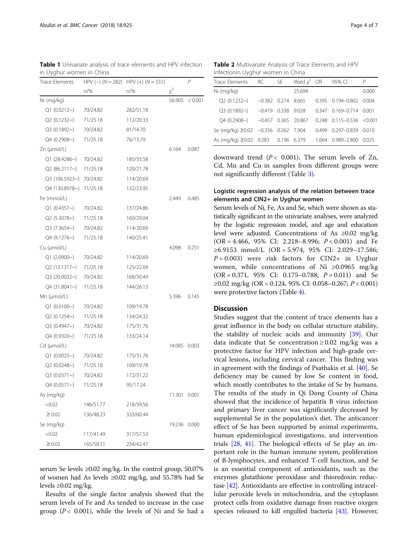<span id="page-3-0"></span>Table 1 Univariate analysis of trace elements and HPV infection in Uyghur women in China

| Trace Elements      |           | HPV (-) $(N = 282)$ HPV (+) $(N = 551)$ |          | P       |
|---------------------|-----------|-----------------------------------------|----------|---------|
|                     | n/%       | $n\frac{9}{6}$                          | $\chi^2$ |         |
| Ni (mg/kg)          |           |                                         | 56.905   | < 0.001 |
| Q1 (0.0212)         | 70/24.82  | 282/51.18                               |          |         |
| Q2 (0.1232~)        | 71/25.18  | 112/20.33                               |          |         |
| Q3 (0.1892~)        | 70/24.82  | 81/14.70                                |          |         |
| Q4 (0.2908~)        | 71/25.18  | 76/13.79                                |          |         |
| Zn (µmol/L)         |           |                                         | 6.164    | 0.087   |
| Q1 (28.4286~)       | 70/24.82  | 185/33.58                               |          |         |
| Q2 (86.2117~)       | 71/25.18  | 120/21.78                               |          |         |
| Q3 (106.5923~)      | 70/24.82  | 114/20.69                               |          |         |
| Q4 (130.8978~)      | 71/25.18  | 132/23.95                               |          |         |
| Fe (mmol/L)         |           |                                         | 2.449    | 0.485   |
| Q1(0.4357)          | 70/24.82  | 137/24.86                               |          |         |
| Q2 (5.5078~)        | 71/25.18  | 160/29.04                               |          |         |
| Q3 (7.3654~)        | 70/24.82  | 114/20.69                               |          |         |
| $Q4(9.1276\sim)$    | 71/25.18  | 140/25.41                               |          |         |
| Cu (µmol/L)         |           |                                         | 4.098    | 0.251   |
| Q1 (2.0900~)        | 70/24.82  | 114/20.69                               |          |         |
| Q2 (12.1317~)       | 71/25.18  | 125/22.69                               |          |         |
| Q3 (20.0032~)       | 70/24.82  | 168/30.49                               |          |         |
| Q4 (31.8041~)       | 71/25.18  | 144/26.13                               |          |         |
| $Mn$ (µmol/L)       |           |                                         | 5.396    | 0.145   |
| Q1(0.0100)          | 70/24.82  | 109/19.78                               |          |         |
| Q2 (0.1254~)        | 71/25.18  | 134/24.32                               |          |         |
| Q3 (0.4947~)        | 70/24.82  | 175/31.76                               |          |         |
| Q4 (0.9320~)        | 71/25.18  | 133/24.14                               |          |         |
| $Cd$ ( $\mu$ mol/L) |           |                                         | 14.085   | 0.003   |
| Q1 (0.0025~)        | 70/24.82  | 175/31.76                               |          |         |
| $Q2(0.0248\sim)$    | 71/25.18  | 109/19.78                               |          |         |
| $Q3 (0.0371)$ ~)    | 70/24.82  | 172/31.22                               |          |         |
| $Q4(0.0571)$ ~)     | 71/25.18  | 95/17.24                                |          |         |
| As (mg/kg)          |           |                                         | 11.301   | 0.001   |
| < 0.02              | 146/51.77 | 218/39.56                               |          |         |
| $\geq 0.02$         | 136/48.23 | 333/60.44                               |          |         |
| Se (mg/kg)          |           |                                         | 19.236   | 0.000   |
| < 0.02              | 117/41.49 | 317/57.53                               |          |         |
| $\geq 0.02$         | 165/58.51 | 234/42.47                               |          |         |

serum Se levels ≥0.02 mg/kg. In the control group, 50.07% of women had As levels ≥0.02 mg/kg, and 55.78% had Se levels ≥0.02 mg/kg.

Results of the single factor analysis showed that the serum levels of Fe and As tended to increase in the case group ( $P < 0.001$ ), while the levels of Ni and Se had a

Table 2 Multivariate Analysis of Trace Elements and HPV Infectionin Uyghur women in China

| Trace Elements                          | RC.                  | <b>SE</b> | Wald $x^2$ OR |       | 95% CI                          | Р       |
|-----------------------------------------|----------------------|-----------|---------------|-------|---------------------------------|---------|
| Ni (mg/kg)                              |                      |           | 25.694        |       |                                 | 0.000   |
| Q2(0.1232)                              | $-0.382$ 0.274 8.665 |           |               |       | 0.395 0.194-0.802 0.004         |         |
| $O3 (0.1892 \sim)$ $-0.419$             |                      | 0.338     | 9.028         | 0.347 | $0.169 - 0.714$                 | 0.001   |
| $04 (0.2908\sim)$ $-0.457 0.365 20.867$ |                      |           |               |       | $0.248$ $0.115 - 0.536$ < 0.001 |         |
| Se (mg/kg) ≥0.02 -0.356 0.262 7.904     |                      |           |               | 0.499 | $0.297 - 0.839$ $0.010$         |         |
| As (mg/kg) ≥0.02 0.283 0.196 6.379      |                      |           |               |       | 1.664 0.989-2.800               | - 0.025 |

downward trend ( $P < 0.001$ ). The serum levels of Zn, Cd, Mn and Cu in samples from different groups were not significantly different (Table [3\)](#page-4-0).

# Logistic regression analysis of the relation between trace elements and CIN2+ in Uyghur women

Serum levels of Ni, Fe, As and Se, which were shown as statistically significant in the univariate analyses, were analyzed by the logistic regression model, and age and education level were adjusted. Concentrations of As ≥0.02 mg/kg  $(OR = 4.466, 95\% CI: 2.218-8.996; P < 0.001)$  and Fe ≥6.9153 mmol/L (OR = 5.974, 95% CI: 2.029–17.586;  $P = 0.003$ ) were risk factors for CIN2+ in Uyghur women, while concentrations of Ni ≥0.0965 mg/kg  $(OR = 0.371, 95\% \text{ CI: } 0.175 - 0.788; P = 0.011) \text{ and } Se$ <sup>≥</sup>0.02 mg/kg (OR = 0.124, 95% CI: 0.058–0.267; P < 0.001) were protective factors (Table [4](#page-5-0)).

# **Discussion**

Studies suggest that the content of trace elements has a great influence in the body on cellular structure stability, the stability of nucleic acids and immunity [[39](#page-6-0)]. Our data indicate that Se concentration  $\geq 0.02$  mg/kg was a protective factor for HPV infection and high-grade cervical lesions, including cervical cancer. This finding was in agreement with the findings of Psathakis et al. [\[40\]](#page-6-0). Se deficiency may be caused by low Se content in food, which mostly contributes to the intake of Se by humans. The results of the study in Qi Dong County of China showed that the incidence of hepatitis B virus infection and primary liver cancer was significantly decreased by supplemental Se in the population's diet. The anticancer effect of Se has been supported by animal experiments, human epidemiological investigations, and intervention trials [\[28](#page-6-0), [41\]](#page-6-0). The biological effects of Se play an important role in the human immune system, proliferation of B-lymphocytes, and enhanced T-cell function, and Se is an essential component of antioxidants, such as the enzymes glutathione peroxidase and thioredoxin reductase [\[42\]](#page-6-0). Antioxidants are effective in controlling intracellular peroxide levels in mitochondria, and the cytoplasm protect cells from oxidative damage from reactive oxygen species released to kill engulfed bacteria [[43](#page-6-0)]. However,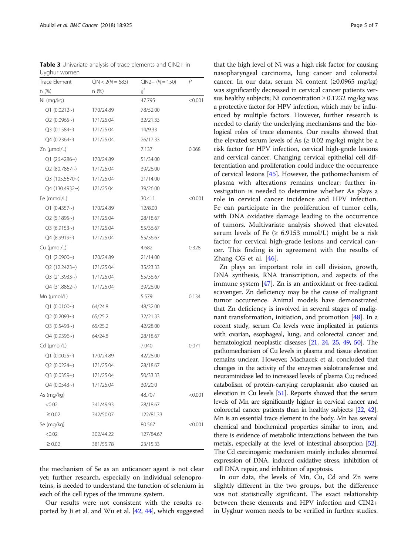<span id="page-4-0"></span>Table 3 Univariate analysis of trace elements and CIN2+ in Uyghur women

| <b>Trace Element</b> | $CIN < 2(N = 683)$ | $CIN2+ (N = 150)$ | P       |
|----------------------|--------------------|-------------------|---------|
| n(%)                 | n (%)              | $x^2$             |         |
| Ni (mg/kg)           |                    | 47.795            | < 0.001 |
| Q1(0.0212)           | 170/24.89          | 78/52.00          |         |
| Q2(0.0965)           | 171/25.04          | 32/21.33          |         |
| Q3(0.1584~)          | 171/25.04          | 14/9.33           |         |
| Q4 (0.2364~)         | 171/25.04          | 26/17.33          |         |
| Zn (µmol/L)          |                    | 7.137             | 0.068   |
| $Q1(26.4286\sim)$    | 170/24.89          | 51/34.00          |         |
| Q2(80.7867)          | 171/25.04          | 39/26.00          |         |
| Q3 (105.5670~)       | 171/25.04          | 21/14.00          |         |
| Q4 (130.4932~)       | 171/25.04          | 39/26.00          |         |
| Fe (mmol/L)          |                    | 30.411            | < 0.001 |
| Q1(0.4357)           | 170/24.89          | 12/8.00           |         |
| Q2(5.1895)           | 171/25.04          | 28/18.67          |         |
| Q3(6.9153)           | 171/25.04          | 55/36.67          |         |
| Q4 (8.9919~)         | 171/25.04          | 55/36.67          |         |
| Cu (µmol/L)          |                    | 4.682             | 0.328   |
| Q1(2.0900)           | 170/24.89          | 21/14.00          |         |
| Q2 (12.2423~)        | 171/25.04          | 35/23.33          |         |
| Q3 (21.3933~)        | 171/25.04          | 55/36.67          |         |
| Q4(31.8862)          | 171/25.04          | 39/26.00          |         |
| Mn (µmol/L)          |                    | 5.579             | 0.134   |
| Q1(0.0100)           | 64/24.8            | 48/32.00          |         |
| Q2(0.2093)           | 65/25.2            | 32/21.33          |         |
| Q3 (0.5493~)         | 65/25.2            | 42/28.00          |         |
| Q4 (0.9396~)         | 64/24.8            | 28/18.67          |         |
| Cd (µmol/L)          |                    | 7.040             | 0.071   |
| Q1 (0.0025)          | 170/24.89          | 42/28.00          |         |
| Q2 (0.0224~)         | 171/25.04          | 28/18.67          |         |
| Q3 (0.0359~)         | 171/25.04          | 50/33.33          |         |
| Q4 (0.0543~)         | 171/25.04          | 30/20.0           |         |
| As (mg/kg)           |                    | 48.707            | < 0.001 |
| < 0.02               | 341/49.93          | 28/18.67          |         |
| $\geq 0.02$          | 342/50.07          | 122/81.33         |         |
| Se (mg/kg)           |                    | 80.567            | < 0.001 |
| < 0.02               | 302/44.22          | 127/84.67         |         |
| $\geq 0.02$          | 381/55.78          | 23/15.33          |         |

the mechanism of Se as an anticancer agent is not clear yet; further research, especially on individual selenoproteins, is needed to understand the function of selenium in each of the cell types of the immune system.

Our results were not consistent with the results reported by Ji et al. and Wu et al. [[42](#page-6-0), [44](#page-6-0)], which suggested

that the high level of Ni was a high risk factor for causing nasopharyngeal carcinoma, lung cancer and colorectal cancer. In our data, serum Ni content (≥0.0965 mg/kg) was significantly decreased in cervical cancer patients versus healthy subjects; Ni concentration  $\geq 0.1232$  mg/kg was a protective factor for HPV infection, which may be influenced by multiple factors. However, further research is needed to clarify the underlying mechanisms and the biological roles of trace elements. Our results showed that the elevated serum levels of As  $(≥ 0.02 mg/kg)$  might be a risk factor for HPV infection, cervical high-grade lesions and cervical cancer. Changing cervical epithelial cell differentiation and proliferation could induce the occurrence of cervical lesions [\[45](#page-6-0)]. However, the pathomechanism of plasma with alterations remains unclear; further investigation is needed to determine whether As plays a role in cervical cancer incidence and HPV infection. Fe can participate in the proliferation of tumor cells, with DNA oxidative damage leading to the occurrence of tumors. Multivariate analysis showed that elevated serum levels of Fe  $(≥ 6.9153 mmol/L)$  might be a risk factor for cervical high-grade lesions and cervical cancer. This finding is in agreement with the results of Zhang CG et al. [\[46](#page-6-0)].

Zn plays an important role in cell division, growth, DNA synthesis, RNA transcription, and aspects of the immune system [[47\]](#page-6-0). Zn is an antioxidant or free-radical scavenger. Zn deficiency may be the cause of malignant tumor occurrence. Animal models have demonstrated that Zn deficiency is involved in several stages of malignant transformation, initiation, and promotion [[48\]](#page-6-0). In a recent study, serum Cu levels were implicated in patients with ovarian, esophageal, lung, and colorectal cancer and hematological neoplastic diseases [\[21](#page-6-0), [24,](#page-6-0) [25](#page-6-0), [49](#page-6-0), [50\]](#page-6-0). The pathomechanism of Cu levels in plasma and tissue elevation remains unclear. However, Machacek et al. concluded that changes in the activity of the enzymes sialotransferase and neuraminidase led to increased levels of plasma Cu; reduced catabolism of protein-carrying ceruplasmin also caused an elevation in Cu levels [\[51](#page-6-0)]. Reports showed that the serum levels of Mn are significantly higher in cervical cancer and colorectal cancer patients than in healthy subjects [\[22,](#page-6-0) [42\]](#page-6-0). Mn is an essential trace element in the body. Mn has several chemical and biochemical properties similar to iron, and there is evidence of metabolic interactions between the two metals, especially at the level of intestinal absorption [\[52](#page-6-0)]. The Cd carcinogenic mechanism mainly includes abnormal expression of DNA, induced oxidative stress, inhibition of cell DNA repair, and inhibition of apoptosis.

In our data, the levels of Mn, Cu, Cd and Zn were slightly different in the two groups, but the difference was not statistically significant. The exact relationship between these elements and HPV infection and CIN2+ in Uyghur women needs to be verified in further studies.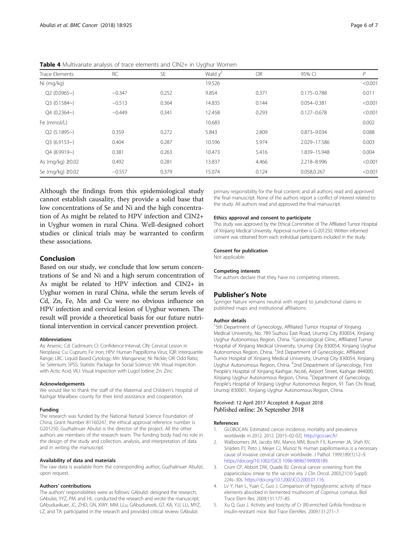| <b>Trace Elements</b> | <b>RC</b> | SE    | ر ر<br>Wald $x^2$ | <b>OR</b> | 95% CI          | P       |
|-----------------------|-----------|-------|-------------------|-----------|-----------------|---------|
| Ni (mg/kg)            |           |       | 19.526            |           |                 | < 0.001 |
| Q2(0.0965)            | $-0.347$  | 0.252 | 9.854             | 0.371     | $0.175 - 0.788$ | 0.011   |
| $Q3(0.1584\sim)$      | $-0.513$  | 0.364 | 14.835            | 0.144     | $0.054 - 0.381$ | < 0.001 |
| $Q4(0.2364\sim)$      | $-0.449$  | 0.341 | 12.458            | 0.293     | $0.127 - 0.678$ | < 0.001 |
| Fe (mmol/L)           |           |       | 10.683            |           |                 | 0.002   |
| Q2(5.1895)            | 0.359     | 0.272 | 5.843             | 2.809     | 0.873-9.034     | 0.088   |
| Q3(6.9153)            | 0.404     | 0.287 | 10.596            | 5.974     | 2.029-17.586    | 0.003   |
| $Q4(8.9919-)$         | 0.381     | 0.263 | 10.473            | 5.416     | 1.839-15.948    | 0.004   |
| As $(mq/kg) \ge 0.02$ | 0.492     | 0.281 | 13.837            | 4.466     | 2.218-8.996     | < 0.001 |
| Se (mg/kg) ≥0.02      | $-0.557$  | 0.379 | 15.074            | 0.124     | 0.058,0.267     | < 0.001 |

<span id="page-5-0"></span>Table 4 Multivariate analysis of trace elements and CIN2+ in Uyghur Women

Although the findings from this epidemiological study cannot establish causality, they provide a solid base that low concentrations of Se and Ni and the high concentration of As might be related to HPV infection and CIN2+ in Uyghur women in rural China. Well-designed cohort studies or clinical trials may be warranted to confirm these associations.

# Conclusion

Based on our study, we conclude that low serum concentrations of Se and Ni and a high serum concentration of As might be related to HPV infection and CIN2+ in Uyghur women in rural China, while the serum levels of Cd, Zn, Fe, Mn and Cu were no obvious influence on HPV infection and cervical lesion of Uyghur women. The result will provide a theoretical basis for our future nutritional intervention in cervical cancer prevention project.

#### Abbreviations

As: Arsenic; Cd: Cadmium; CI: Confidence Interval; CIN: Cervical Lesion in Neoplasia; Cu: Cuprum; Fe: Iron; HPV: Human Pappilloma Virus; IQR: Interquartile Range; LBC: Liquid Based Cytology; Mn: Manganese; Ni: Nickle; OR: Odd Ratio; Se: Selenium; SPSS: Statistic Package for Social Science; VIA: Visual Inspeciton with Actic Acid; VILI: Visual Inspection with Lugol Iodine; Zn: Zinc

#### Acknowledgements

We would like to thank the staff of the Maternal and Children's Hospital of Kashgar Maralbexi county for their kind assistance and cooperation.

#### Funding

The research was funded by the National Natural Science Foundation of China, Grant Number 81160247, the ethical approval reference number is G201250. Guzhalinuer Abulizi is the director of the project. All the other authors are members of the research team. The funding body had no role in the design of the study and collection, analysis, and interpretation of data and in writing the manuscript.

#### Availability of data and materials

The raw data is available from the corresponding author, Guzhalinuer Abulizi, upon request.

#### Authors' contributions

The authors' responsibilities were as follows: GAbulizi: designed the research; GAbulizi, YYZ, PM, and HL: conducted the research and wrote the manuscript; GAbuduxikuer, JC, ZHD, GN, XWY, MM, LLu, GAbudurexiti, GT, KA, YJJ, LLi, MYZ, LZ, and TA: participated in the research and provided critical review; GAbulizi:

primary responsibility for the final content; and all authors: read and approved the final manuscript. None of the authors report a conflict of interest related to the study. All authors read and approved the final manuscript.

#### Ethics approval and consent to participate

This study was approved by the Ethical Committee of The Affiliated Tumor Hospital of Xinjiang Medical University. Approval number is G-201250. Written informed consent was obtained from each individual participants included in the study.

#### Consent for publication

Not applicable.

#### Competing interests

The authors declare that they have no competing interests.

#### Publisher's Note

Springer Nature remains neutral with regard to jurisdictional claims in published maps and institutional affiliations.

#### Author details

<sup>1</sup>5th Department of Gynecology, Affiliated Tumor Hospital of Xinjiang Medical University, No. 789 Suzhou East Road, Urumqi City 830054, Xinjiang Uyghur Autonomous Region, China. <sup>2</sup>Gynecological Clinic, Affiliated Tumor Hospital of Xinjiang Medical University, Urumqi City 830054, Xinjiang Uyghur Autonomous Region, China. <sup>3</sup>3rd Department of Gynecologic, Affiliated Tumor Hospital of Xinjiang Medical University, Urumqi City 830054, Xinjiang Uyghur Autonomous Region, China. <sup>4</sup> 2nd Department of Gynecology, First People's Hospital of Xinjiang Kashgar, No.66, Airport Street, Kashgar 844000, Xinjiang Uyghur Autonomous Region, China. <sup>5</sup>Department of Gynecology People's Hospital of Xinjiang Uyghur Autonomous Region, 91 Tian Chi Road, Urumqi 830001, Xinjiang Uyghur Autonomous Region, China.

#### Received: 12 April 2017 Accepted: 8 August 2018 Published online: 26 September 2018

#### References

- 1. GLOBOCAN. Estimated cancer incidence, mortality and prevalence worldwide in 2012. 2012. [2015–02-02]. [http://gco.iarc.fr/.](http://gco.iarc.fr/)
- 2. Walboomers JM, Jacobs MV, Manos MM, Bosch FX, Kummer JA, Shah KV, Snijders PJ, Peto J, Meijer CJ, Munoz N. Human papillomavirus is a necessary cause of invasive cervical cancer worldwide. J Pathol. 1999;189(1):12–9. [https://doi.org/10.1002/\(SICI\) 1096-9896\(199909\)189.](https://doi.org/10.1002/(SICI) 1096-9896(199909)189)
- 3. Crum CP, Abbott DW, Quade BJ. Cervical cancer screening: from the papanicolaou smear to the vaccine era. J Clin Oncol. 2003;21(10 Suppl): 224s–30s. [https://doi.org/10.1200/JCO.2003.01.116.](https://doi.org/10.1200/JCO.2003.01.116)
- 4. Lv Y, Han L, Yuan C, Guo J. Comparison of hypoglycemic activity of trace elements absorbed in fermented mushroom of Coprinus comatus. Biol Trace Elem Res. 2009;131:177–85.
- 5. Xu Q, Guo J. Activity and toxicity of Cr (III)-enriched Grifola frondosa in insulin-resistant mice. Biol Trace ElemRes. 2009;131:271–7.